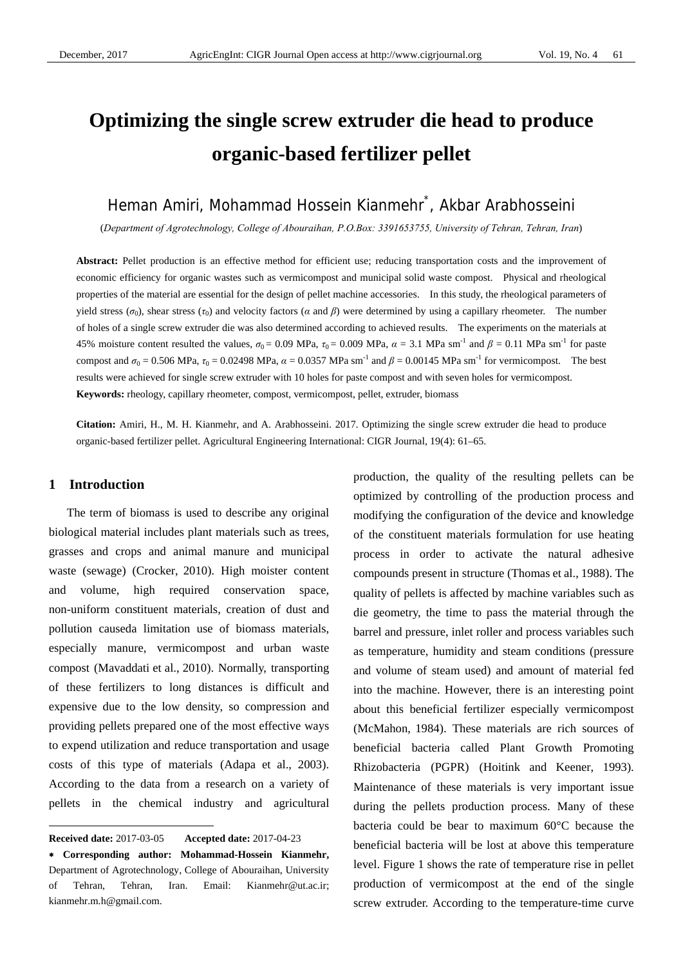# **Optimizing the single screw extruder die head to produce organic-based fertilizer pellet**

# Heman Amiri, Mohammad Hossein Kianmehr\*, Akbar Arabhosseini

(*Department of Agrotechnology, College of Abouraihan, P.O.Box: 3391653755, University of Tehran, Tehran, Iran*)

**Abstract:** Pellet production is an effective method for efficient use; reducing transportation costs and the improvement of economic efficiency for organic wastes such as vermicompost and municipal solid waste compost. Physical and rheological properties of the material are essential for the design of pellet machine accessories. In this study, the rheological parameters of yield stress ( $\sigma_0$ ), shear stress ( $\tau_0$ ) and velocity factors ( $\alpha$  and  $\beta$ ) were determined by using a capillary rheometer. The number of holes of a single screw extruder die was also determined according to achieved results. The experiments on the materials at 45% moisture content resulted the values,  $\sigma_0 = 0.09$  MPa,  $\tau_0 = 0.009$  MPa,  $\alpha = 3.1$  MPa sm<sup>-1</sup> and  $\beta = 0.11$  MPa sm<sup>-1</sup> for paste compost and  $\sigma_0 = 0.506$  MPa,  $\tau_0 = 0.02498$  MPa,  $\alpha = 0.0357$  MPa sm<sup>-1</sup> and  $\beta = 0.00145$  MPa sm<sup>-1</sup> for vermicompost. The best results were achieved for single screw extruder with 10 holes for paste compost and with seven holes for vermicompost. **Keywords:** rheology, capillary rheometer, compost, vermicompost, pellet, extruder, biomass

**Citation:** Amiri, H., M. H. Kianmehr, and A. Arabhosseini. 2017. Optimizing the single screw extruder die head to produce organic-based fertilizer pellet. Agricultural Engineering International: CIGR Journal, 19(4): 61–65.

#### **1 Introduction**

 $\overline{a}$ 

The term of biomass is used to describe any original biological material includes plant materials such as trees, grasses and crops and animal manure and municipal waste (sewage) (Crocker, 2010). High moister content and volume, high required conservation space, non-uniform constituent materials, creation of dust and pollution causeda limitation use of biomass materials, especially manure, vermicompost and urban waste compost (Mavaddati et al., 2010). Normally, transporting of these fertilizers to long distances is difficult and expensive due to the low density, so compression and providing pellets prepared one of the most effective ways to expend utilization and reduce transportation and usage costs of this type of materials (Adapa et al., 2003). According to the data from a research on a variety of pellets in the chemical industry and agricultural

production, the quality of the resulting pellets can be optimized by controlling of the production process and modifying the configuration of the device and knowledge of the constituent materials formulation for use heating process in order to activate the natural adhesive compounds present in structure (Thomas et al., 1988). The quality of pellets is affected by machine variables such as die geometry, the time to pass the material through the barrel and pressure, inlet roller and process variables such as temperature, humidity and steam conditions (pressure and volume of steam used) and amount of material fed into the machine. However, there is an interesting point about this beneficial fertilizer especially vermicompost (McMahon, 1984). These materials are rich sources of beneficial bacteria called Plant Growth Promoting Rhizobacteria (PGPR) (Hoitink and Keener, 1993). Maintenance of these materials is very important issue during the pellets production process. Many of these bacteria could be bear to maximum 60°C because the beneficial bacteria will be lost at above this temperature level. Figure 1 shows the rate of temperature rise in pellet production of vermicompost at the end of the single screw extruder. According to the temperature-time curve

**Received date:** 2017-03-05 **Accepted date:** 2017-04-23

<sup>∗</sup> **Corresponding author: Mohammad-Hossein Kianmehr,** Department of Agrotechnology, College of Abouraihan, University of Tehran, Tehran, Iran. Email: Kianmehr@ut.ac.ir; kianmehr.m.h@gmail.com.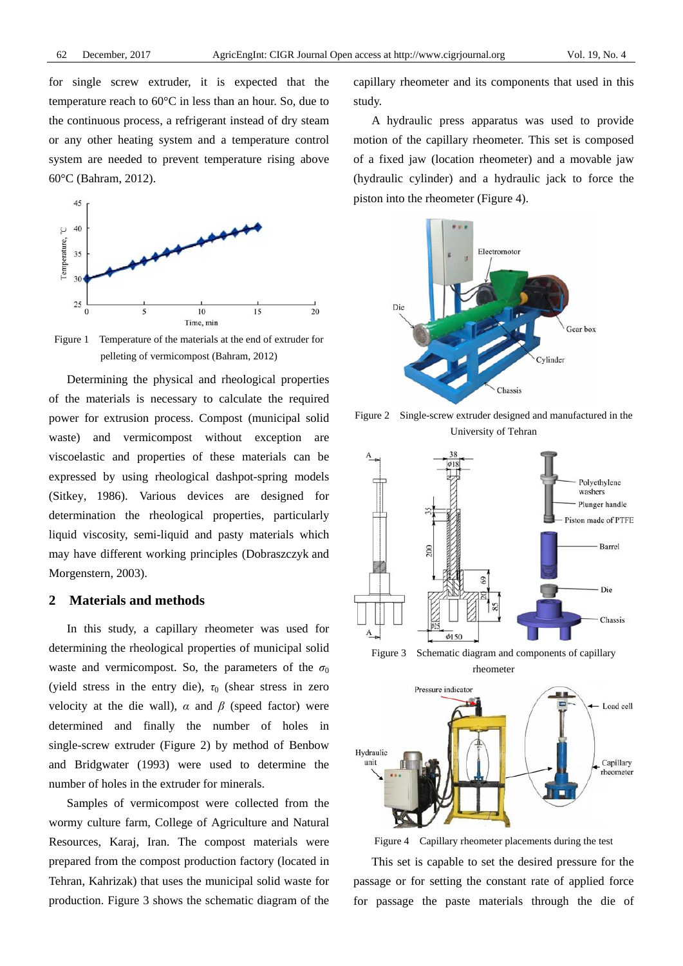for single screw extruder, it is expected that the temperature reach to 60°C in less than an hour. So, due to the continuous process, a refrigerant instead of dry steam or any other heating system and a temperature control system are needed to prevent temperature rising above 60°C (Bahram, 2012).



Figure 1 Temperature of the materials at the end of extruder for pelleting of vermicompost (Bahram, 2012)

Determining the physical and rheological properties of the materials is necessary to calculate the required power for extrusion process. Compost (municipal solid waste) and vermicompost without exception are viscoelastic and properties of these materials can be expressed by using rheological dashpot-spring models (Sitkey, 1986). Various devices are designed for determination the rheological properties, particularly liquid viscosity, semi-liquid and pasty materials which may have different working principles (Dobraszczyk and Morgenstern, 2003).

#### **2 Materials and methods**

In this study, a capillary rheometer was used for determining the rheological properties of municipal solid waste and vermicompost. So, the parameters of the  $\sigma_0$ (yield stress in the entry die),  $\tau_0$  (shear stress in zero velocity at the die wall),  $\alpha$  and  $\beta$  (speed factor) were determined and finally the number of holes in single-screw extruder (Figure 2) by method of Benbow and Bridgwater (1993) were used to determine the number of holes in the extruder for minerals.

Samples of vermicompost were collected from the wormy culture farm, College of Agriculture and Natural Resources, Karaj, Iran. The compost materials were prepared from the compost production factory (located in Tehran, Kahrizak) that uses the municipal solid waste for production. Figure 3 shows the schematic diagram of the capillary rheometer and its components that used in this study.

A hydraulic press apparatus was used to provide motion of the capillary rheometer. This set is composed of a fixed jaw (location rheometer) and a movable jaw (hydraulic cylinder) and a hydraulic jack to force the piston into the rheometer (Figure 4).



Figure 2 Single-screw extruder designed and manufactured in the University of Tehran



rheometer



Figure 4 Capillary rheometer placements during the test

This set is capable to set the desired pressure for the passage or for setting the constant rate of applied force for passage the paste materials through the die of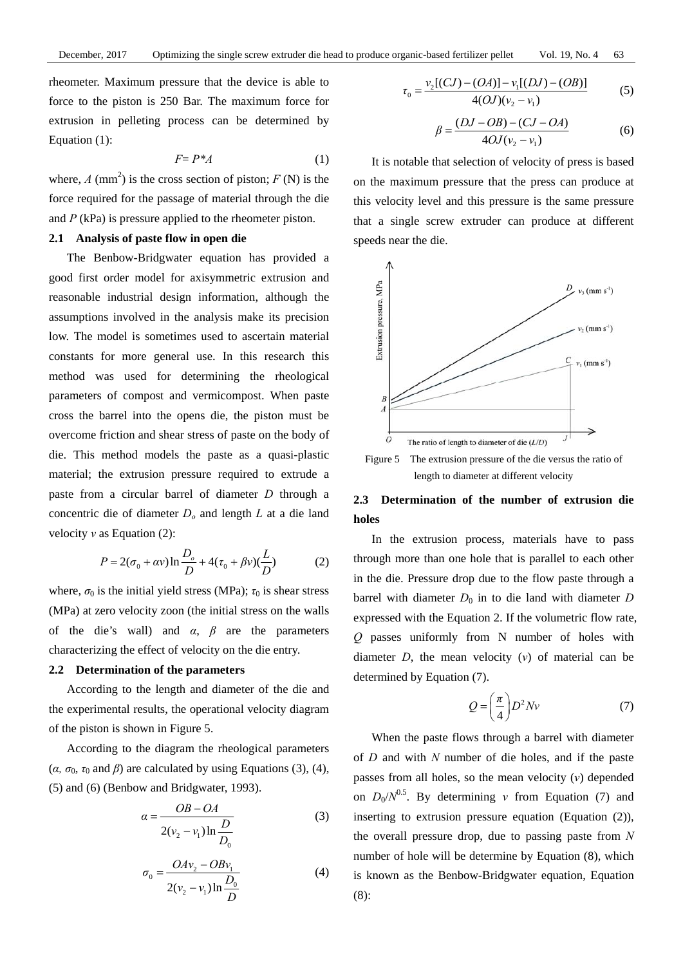rheometer. Maximum pressure that the device is able to force to the piston is 250 Bar. The maximum force for extrusion in pelleting process can be determined by Equation (1):

$$
F = P^*A \tag{1}
$$

where,  $A \text{ (mm}^2)$  is the cross section of piston;  $F \text{ (N)}$  is the force required for the passage of material through the die and *P* (kPa) is pressure applied to the rheometer piston.

#### **2.1 Analysis of paste flow in open die**

The Benbow-Bridgwater equation has provided a good first order model for axisymmetric extrusion and reasonable industrial design information, although the assumptions involved in the analysis make its precision low. The model is sometimes used to ascertain material constants for more general use. In this research this method was used for determining the rheological parameters of compost and vermicompost. When paste cross the barrel into the opens die, the piston must be overcome friction and shear stress of paste on the body of die. This method models the paste as a quasi-plastic material; the extrusion pressure required to extrude a paste from a circular barrel of diameter *D* through a concentric die of diameter *Do* and length *L* at a die land velocity *v* as Equation (2):

$$
P = 2(\sigma_0 + \alpha v) \ln \frac{D_o}{D} + 4(\tau_0 + \beta v) \left(\frac{L}{D}\right)
$$
 (2)

where,  $\sigma_0$  is the initial yield stress (MPa);  $\tau_0$  is shear stress (MPa) at zero velocity zoon (the initial stress on the walls of the die's wall) and *α*, *β* are the parameters characterizing the effect of velocity on the die entry.

#### **2.2 Determination of the parameters**

According to the length and diameter of the die and the experimental results, the operational velocity diagram of the piston is shown in Figure 5.

According to the diagram the rheological parameters ( $\alpha$ ,  $\sigma_0$ ,  $\tau_0$  and  $\beta$ ) are calculated by using Equations (3), (4), (5) and (6) (Benbow and Bridgwater, 1993).

$$
\alpha = \frac{OB - OA}{2(v_2 - v_1) \ln \frac{D}{D_0}}
$$
\n(3)

$$
\sigma_0 = \frac{OAv_2 - OBv_1}{2(v_2 - v_1)\ln\frac{D_0}{D}}
$$
\n(4)

$$
\tau_0 = \frac{\nu_2 [(CJ) - (OA)] - \nu_1 [(DJ) - (OB)]}{4(OJ)(\nu_2 - \nu_1)}
$$
(5)

$$
\beta = \frac{(DJ - OB) - (CJ - OA)}{4OJ(v_2 - v_1)}
$$
(6)

It is notable that selection of velocity of press is based on the maximum pressure that the press can produce at this velocity level and this pressure is the same pressure that a single screw extruder can produce at different speeds near the die.



Figure 5 The extrusion pressure of the die versus the ratio of length to diameter at different velocity

# **2.3 Determination of the number of extrusion die holes**

In the extrusion process, materials have to pass through more than one hole that is parallel to each other in the die. Pressure drop due to the flow paste through a barrel with diameter  $D_0$  in to die land with diameter  $D$ expressed with the Equation 2. If the volumetric flow rate, *Q* passes uniformly from N number of holes with diameter  $D$ , the mean velocity  $(v)$  of material can be determined by Equation (7).

$$
Q = \left(\frac{\pi}{4}\right) D^2 N v \tag{7}
$$

When the paste flows through a barrel with diameter of *D* and with *N* number of die holes, and if the paste passes from all holes, so the mean velocity (*v*) depended on  $D_0/N^{0.5}$ . By determining *v* from Equation (7) and inserting to extrusion pressure equation (Equation (2)), the overall pressure drop, due to passing paste from *N* number of hole will be determine by Equation (8), which is known as the Benbow-Bridgwater equation, Equation (8):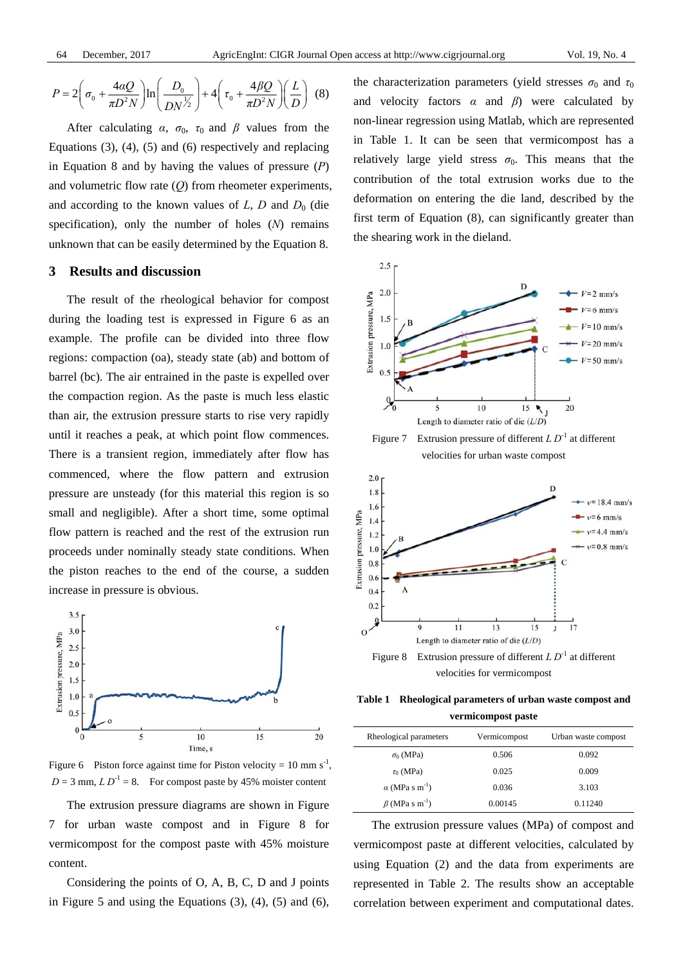$$
P = 2\left(\sigma_0 + \frac{4aQ}{\pi D^2 N}\right) \ln\left(\frac{D_0}{D N^{1/2}}\right) + 4\left(\tau_0 + \frac{4\beta Q}{\pi D^2 N}\right)\left(\frac{L}{D}\right)
$$
 (8)

After calculating  $\alpha$ ,  $\sigma_0$ ,  $\tau_0$  and  $\beta$  values from the Equations (3), (4), (5) and (6) respectively and replacing in Equation 8 and by having the values of pressure (*P*) and volumetric flow rate (*Q*) from rheometer experiments, and according to the known values of  $L$ ,  $D$  and  $D_0$  (die specification), only the number of holes (*N*) remains unknown that can be easily determined by the Equation 8.

#### **3 Results and discussion**

The result of the rheological behavior for compost during the loading test is expressed in Figure 6 as an example. The profile can be divided into three flow regions: compaction (oa), steady state (ab) and bottom of barrel (bc). The air entrained in the paste is expelled over the compaction region. As the paste is much less elastic than air, the extrusion pressure starts to rise very rapidly until it reaches a peak, at which point flow commences. There is a transient region, immediately after flow has commenced, where the flow pattern and extrusion pressure are unsteady (for this material this region is so small and negligible). After a short time, some optimal flow pattern is reached and the rest of the extrusion run proceeds under nominally steady state conditions. When the piston reaches to the end of the course, a sudden increase in pressure is obvious.



Figure 6 Piston force against time for Piston velocity =  $10 \text{ mm s}^{-1}$ ,  $D = 3$  mm,  $LD^{-1} = 8$ . For compost paste by 45% moister content

The extrusion pressure diagrams are shown in Figure 7 for urban waste compost and in Figure 8 for vermicompost for the compost paste with 45% moisture content.

Considering the points of O, A, B, C, D and J points in Figure 5 and using the Equations  $(3)$ ,  $(4)$ ,  $(5)$  and  $(6)$ , the characterization parameters (yield stresses  $\sigma_0$  and  $\tau_0$ and velocity factors  $\alpha$  and  $\beta$ ) were calculated by non-linear regression using Matlab, which are represented in Table 1. It can be seen that vermicompost has a relatively large yield stress  $\sigma_0$ . This means that the contribution of the total extrusion works due to the deformation on entering the die land, described by the first term of Equation (8), can significantly greater than the shearing work in the dieland.



Figure 7 Extrusion pressure of different *L D*<sup>-1</sup> at different velocities for urban waste compost



velocities for vermicompost

**Table 1 Rheological parameters of urban waste compost and vermicompost paste**

| Rheological parameters            | Vermicompost | Urban waste compost |  |  |  |
|-----------------------------------|--------------|---------------------|--|--|--|
| $\sigma_0$ (MPa)                  | 0.506        | 0.092               |  |  |  |
| $\tau_0$ (MPa)                    | 0.025        | 0.009               |  |  |  |
| $\alpha$ (MPa s m <sup>-1</sup> ) | 0.036        | 3.103               |  |  |  |
| $\beta$ (MPa s m <sup>-1</sup> )  | 0.00145      | 0.11240             |  |  |  |

The extrusion pressure values (MPa) of compost and vermicompost paste at different velocities, calculated by using Equation (2) and the data from experiments are represented in Table 2. The results show an acceptable correlation between experiment and computational dates.